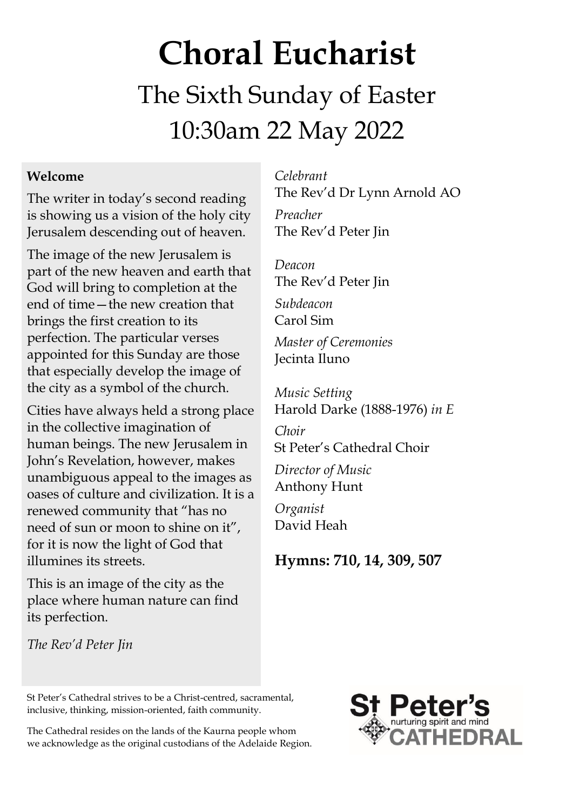# **Choral Eucharist** The Sixth Sunday of Easter 10:30am 22 May 2022

## **Welcome**

The writer in today's second reading is showing us a vision of the holy city Jerusalem descending out of heaven.

The image of the new Jerusalem is part of the new heaven and earth that God will bring to completion at the end of time—the new creation that brings the first creation to its perfection. The particular verses appointed for this Sunday are those that especially develop the image of the city as a symbol of the church.

Cities have always held a strong place in the collective imagination of human beings. The new Jerusalem in John's Revelation, however, makes unambiguous appeal to the images as oases of culture and civilization. It is a renewed community that "has no need of sun or moon to shine on it", for it is now the light of God that illumines its streets.

This is an image of the city as the place where human nature can find its perfection.

*The Rev'd Peter Jin*

*Celebrant* The Rev'd Dr Lynn Arnold AO *Preacher*

The Rev'd Peter Jin

*Deacon* The Rev'd Peter Jin

*Subdeacon* Carol Sim *Master of Ceremonies* Jecinta Iluno

*Music Setting* Harold Darke (1888-1976) *in E*

*Choir* St Peter's Cathedral Choir

*Director of Music* Anthony Hunt

*Organist* David Heah

**Hymns: 710, 14, 309, 507**

St Peter's Cathedral strives to be a Christ-centred, sacramental, inclusive, thinking, mission-oriented, faith community.

The Cathedral resides on the lands of the Kaurna people whom we acknowledge as the original custodians of the Adelaide Region.

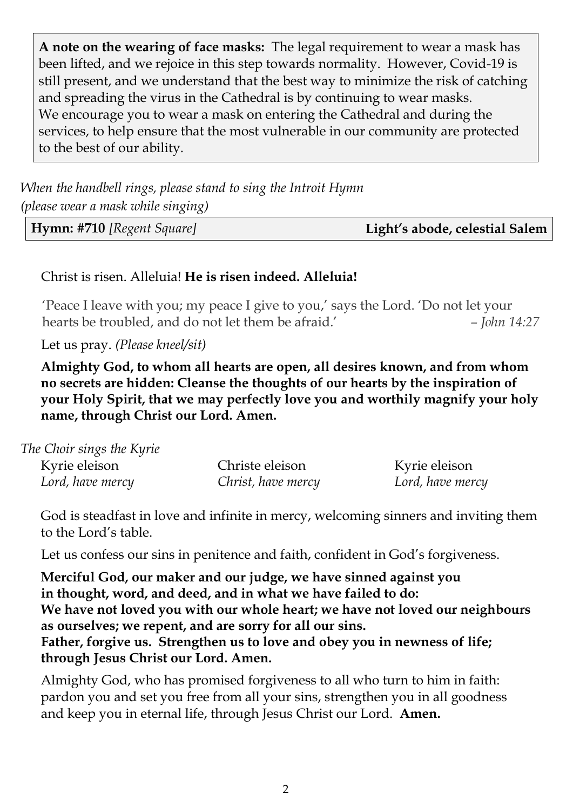**A note on the wearing of face masks:** The legal requirement to wear a mask has been lifted, and we rejoice in this step towards normality. However, Covid-19 is still present, and we understand that the best way to minimize the risk of catching and spreading the virus in the Cathedral is by continuing to wear masks. We encourage you to wear a mask on entering the Cathedral and during the services, to help ensure that the most vulnerable in our community are protected to the best of our ability.

*When the handbell rings, please stand to sing the Introit Hymn (please wear a mask while singing)*

**Hymn: #710** *[Regent Square]* **Light's abode, celestial Salem**

#### Christ is risen. Alleluia! **He is risen indeed. Alleluia!**

'Peace I leave with you; my peace I give to you,' says the Lord. 'Do not let your hearts be troubled, and do not let them be afraid.' *– John 14:27*

Let us pray. *(Please kneel/sit)*

**Almighty God, to whom all hearts are open, all desires known, and from whom no secrets are hidden: Cleanse the thoughts of our hearts by the inspiration of your Holy Spirit, that we may perfectly love you and worthily magnify your holy name, through Christ our Lord. Amen.**

| The Choir sings the Kyrie |                    |                  |
|---------------------------|--------------------|------------------|
| Kyrie eleison             | Christe eleison    | Kyrie eleison    |
| Lord, have mercy          | Christ, have mercy | Lord, have mercy |

God is steadfast in love and infinite in mercy, welcoming sinners and inviting them to the Lord's table.

Let us confess our sins in penitence and faith, confident in God's forgiveness.

**Merciful God, our maker and our judge, we have sinned against you in thought, word, and deed, and in what we have failed to do: We have not loved you with our whole heart; we have not loved our neighbours as ourselves; we repent, and are sorry for all our sins. Father, forgive us. Strengthen us to love and obey you in newness of life; through Jesus Christ our Lord. Amen.**

Almighty God, who has promised forgiveness to all who turn to him in faith: pardon you and set you free from all your sins, strengthen you in all goodness and keep you in eternal life, through Jesus Christ our Lord. **Amen.**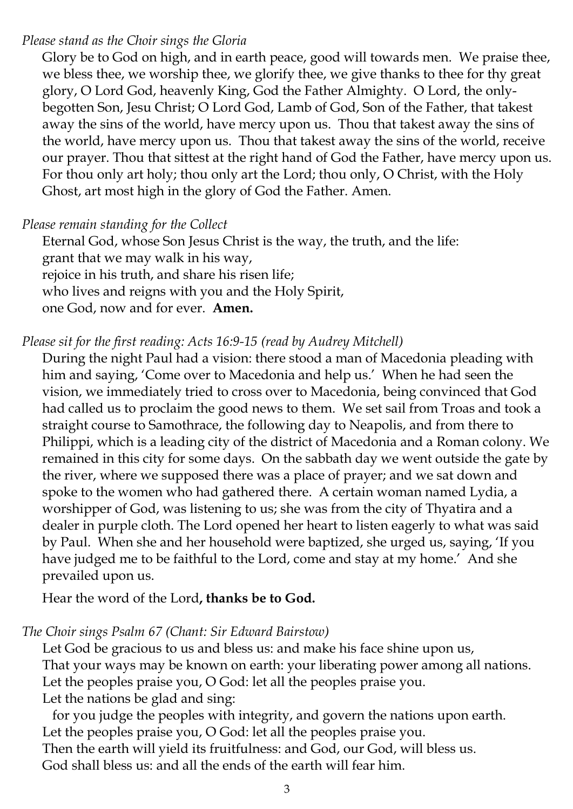#### *Please stand as the Choir sings the Gloria*

Glory be to God on high, and in earth peace, good will towards men. We praise thee, we bless thee, we worship thee, we glorify thee, we give thanks to thee for thy great glory, O Lord God, heavenly King, God the Father Almighty. O Lord, the onlybegotten Son, Jesu Christ; O Lord God, Lamb of God, Son of the Father, that takest away the sins of the world, have mercy upon us. Thou that takest away the sins of the world, have mercy upon us. Thou that takest away the sins of the world, receive our prayer. Thou that sittest at the right hand of God the Father, have mercy upon us. For thou only art holy; thou only art the Lord; thou only, O Christ, with the Holy Ghost, art most high in the glory of God the Father. Amen.

#### *Please remain standing for the Collect*

Eternal God, whose Son Jesus Christ is the way, the truth, and the life: grant that we may walk in his way, rejoice in his truth, and share his risen life; who lives and reigns with you and the Holy Spirit, one God, now and for ever. **Amen.**

#### *Please sit for the first reading: Acts 16:9-15 (read by Audrey Mitchell)*

During the night Paul had a vision: there stood a man of Macedonia pleading with him and saying, 'Come over to Macedonia and help us.' When he had seen the vision, we immediately tried to cross over to Macedonia, being convinced that God had called us to proclaim the good news to them. We set sail from Troas and took a straight course to Samothrace, the following day to Neapolis, and from there to Philippi, which is a leading city of the district of Macedonia and a Roman colony. We remained in this city for some days. On the sabbath day we went outside the gate by the river, where we supposed there was a place of prayer; and we sat down and spoke to the women who had gathered there. A certain woman named Lydia, a worshipper of God, was listening to us; she was from the city of Thyatira and a dealer in purple cloth. The Lord opened her heart to listen eagerly to what was said by Paul. When she and her household were baptized, she urged us, saying, 'If you have judged me to be faithful to the Lord, come and stay at my home.' And she prevailed upon us.

Hear the word of the Lord**, thanks be to God.**

#### *The Choir sings Psalm 67 (Chant: Sir Edward Bairstow)*

Let God be gracious to us and bless us: and make his face shine upon us, That your ways may be known on earth: your liberating power among all nations. Let the peoples praise you, O God: let all the peoples praise you. Let the nations be glad and sing:

 for you judge the peoples with integrity, and govern the nations upon earth. Let the peoples praise you, O God: let all the peoples praise you.

Then the earth will yield its fruitfulness: and God, our God, will bless us.

God shall bless us: and all the ends of the earth will fear him.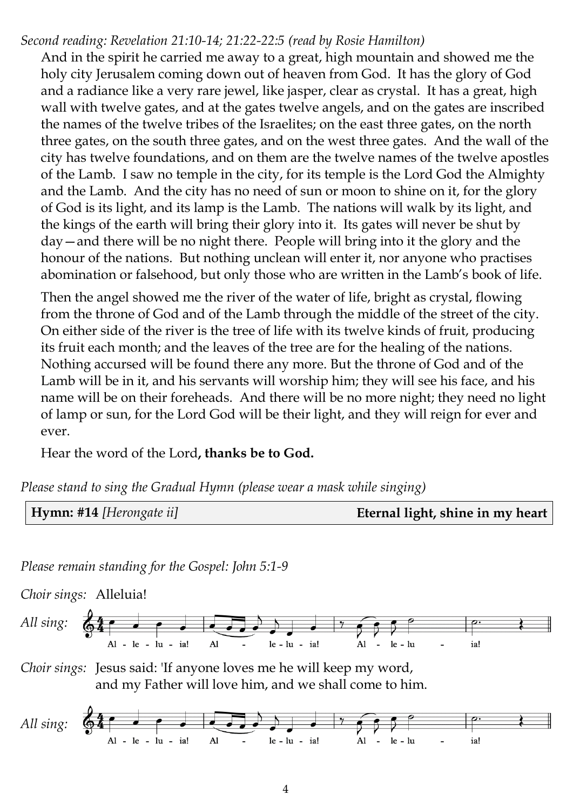### *Second reading: Revelation 21:10-14; 21:22-22:5 (read by Rosie Hamilton)*

And in the spirit he carried me away to a great, high mountain and showed me the holy city Jerusalem coming down out of heaven from God. It has the glory of God and a radiance like a very rare jewel, like jasper, clear as crystal. It has a great, high wall with twelve gates, and at the gates twelve angels, and on the gates are inscribed the names of the twelve tribes of the Israelites; on the east three gates, on the north three gates, on the south three gates, and on the west three gates. And the wall of the city has twelve foundations, and on them are the twelve names of the twelve apostles of the Lamb. I saw no temple in the city, for its temple is the Lord God the Almighty and the Lamb. And the city has no need of sun or moon to shine on it, for the glory of God is its light, and its lamp is the Lamb. The nations will walk by its light, and the kings of the earth will bring their glory into it. Its gates will never be shut by day—and there will be no night there. People will bring into it the glory and the honour of the nations. But nothing unclean will enter it, nor anyone who practises abomination or falsehood, but only those who are written in the Lamb's book of life.

Then the angel showed me the river of the water of life, bright as crystal, flowing from the throne of God and of the Lamb through the middle of the street of the city. On either side of the river is the tree of life with its twelve kinds of fruit, producing its fruit each month; and the leaves of the tree are for the healing of the nations. Nothing accursed will be found there any more. But the throne of God and of the Lamb will be in it, and his servants will worship him; they will see his face, and his name will be on their foreheads. And there will be no more night; they need no light of lamp or sun, for the Lord God will be their light, and they will reign for ever and ever.

Hear the word of the Lord**, thanks be to God.**

*Please stand to sing the Gradual Hymn (please wear a mask while singing)*

**Hymn: #14** *[Herongate ii]* **Eternal light, shine in my heart**

*Please remain standing for the Gospel: John 5:1-9*





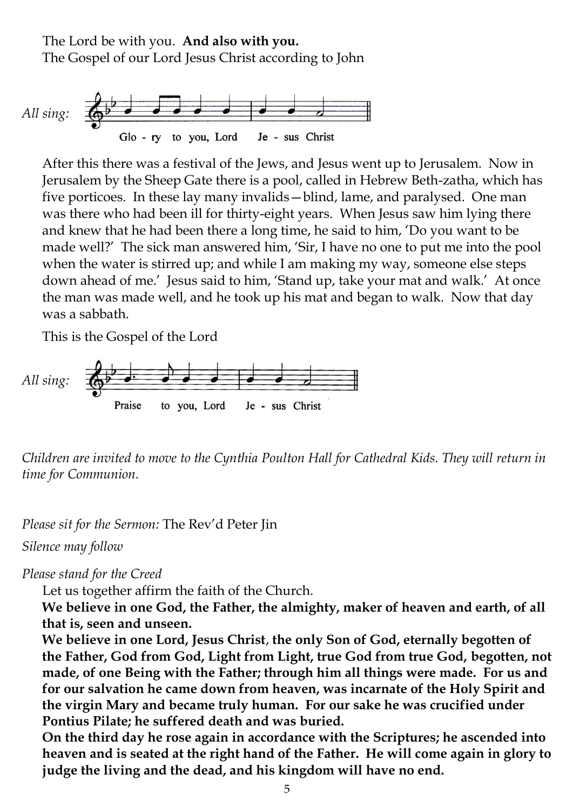The Lord be with you. **And also with you.** The Gospel of our Lord Jesus Christ according to John



After this there was a festival of the Jews, and Jesus went up to Jerusalem. Now in Jerusalem by the Sheep Gate there is a pool, called in Hebrew Beth-zatha, which has five porticoes. In these lay many invalids—blind, lame, and paralysed. One man was there who had been ill for thirty-eight years. When Jesus saw him lying there and knew that he had been there a long time, he said to him, 'Do you want to be made well?' The sick man answered him, 'Sir, I have no one to put me into the pool when the water is stirred up; and while I am making my way, someone else steps down ahead of me.' Jesus said to him, 'Stand up, take your mat and walk.' At once the man was made well, and he took up his mat and began to walk. Now that day was a sabbath.

This is the Gospel of the Lord



*Children are invited to move to the Cynthia Poulton Hall for Cathedral Kids. They will return in time for Communion.*

*Please sit for the Sermon:* The Rev'd Peter Jin

*Silence may follow*

*Please stand for the Creed*

Let us together affirm the faith of the Church.

**We believe in one God, the Father, the almighty, maker of heaven and earth, of all that is, seen and unseen.**

**We believe in one Lord, Jesus Christ**, **the only Son of God, eternally begotten of the Father, God from God, Light from Light, true God from true God, begotten, not made, of one Being with the Father; through him all things were made. For us and for our salvation he came down from heaven, was incarnate of the Holy Spirit and the virgin Mary and became truly human. For our sake he was crucified under Pontius Pilate; he suffered death and was buried.**

**On the third day he rose again in accordance with the Scriptures; he ascended into heaven and is seated at the right hand of the Father. He will come again in glory to judge the living and the dead, and his kingdom will have no end.**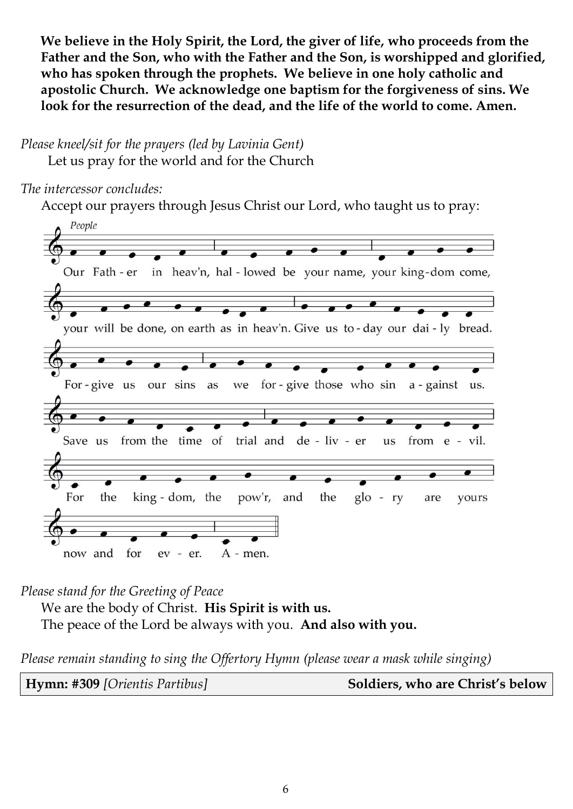**We believe in the Holy Spirit, the Lord, the giver of life, who proceeds from the Father and the Son, who with the Father and the Son, is worshipped and glorified, who has spoken through the prophets. We believe in one holy catholic and apostolic Church. We acknowledge one baptism for the forgiveness of sins. We look for the resurrection of the dead, and the life of the world to come. Amen.**

# *Please kneel/sit for the prayers (led by Lavinia Gent)*

Let us pray for the world and for the Church

# *The intercessor concludes:*

Accept our prayers through Jesus Christ our Lord, who taught us to pray:



*Please stand for the Greeting of Peace*

We are the body of Christ. **His Spirit is with us.** 

The peace of the Lord be always with you. **And also with you.**

*Please remain standing to sing the Offertory Hymn (please wear a mask while singing)*

**Hymn: #309** *[Orientis Partibus]* **Soldiers, who are Christ's below**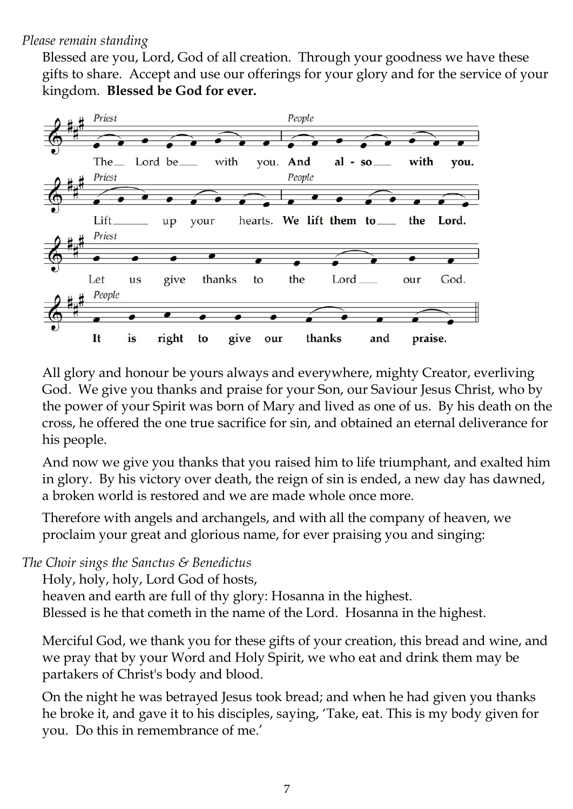## *Please remain standing*

Blessed are you, Lord, God of all creation. Through your goodness we have these gifts to share. Accept and use our offerings for your glory and for the service of your kingdom. **Blessed be God for ever.**



All glory and honour be yours always and everywhere, mighty Creator, everliving God. We give you thanks and praise for your Son, our Saviour Jesus Christ, who by the power of your Spirit was born of Mary and lived as one of us. By his death on the cross, he offered the one true sacrifice for sin, and obtained an eternal deliverance for his people.

And now we give you thanks that you raised him to life triumphant, and exalted him in glory. By his victory over death, the reign of sin is ended, a new day has dawned, a broken world is restored and we are made whole once more.

Therefore with angels and archangels, and with all the company of heaven, we proclaim your great and glorious name, for ever praising you and singing:

*The Choir sings the Sanctus & Benedictus*

Holy, holy, holy, Lord God of hosts,

heaven and earth are full of thy glory: Hosanna in the highest.

Blessed is he that cometh in the name of the Lord. Hosanna in the highest.

Merciful God, we thank you for these gifts of your creation, this bread and wine, and we pray that by your Word and Holy Spirit, we who eat and drink them may be partakers of Christ's body and blood.

On the night he was betrayed Jesus took bread; and when he had given you thanks he broke it, and gave it to his disciples, saying, 'Take, eat. This is my body given for you. Do this in remembrance of me.'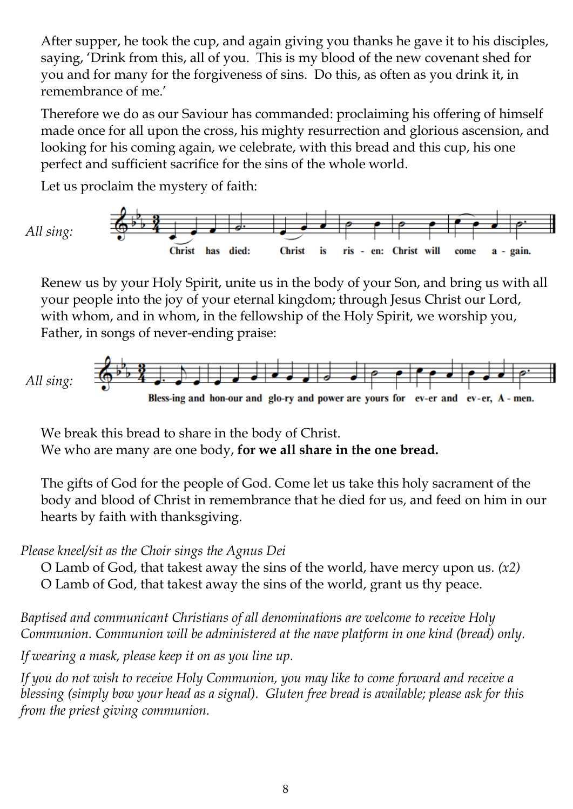After supper, he took the cup, and again giving you thanks he gave it to his disciples, saying, 'Drink from this, all of you. This is my blood of the new covenant shed for you and for many for the forgiveness of sins. Do this, as often as you drink it, in remembrance of me.'

Therefore we do as our Saviour has commanded: proclaiming his offering of himself made once for all upon the cross, his mighty resurrection and glorious ascension, and looking for his coming again, we celebrate, with this bread and this cup, his one perfect and sufficient sacrifice for the sins of the whole world.

Let us proclaim the mystery of faith:





Renew us by your Holy Spirit, unite us in the body of your Son, and bring us with all your people into the joy of your eternal kingdom; through Jesus Christ our Lord, with whom, and in whom, in the fellowship of the Holy Spirit, we worship you, Father, in songs of never-ending praise:



We break this bread to share in the body of Christ. We who are many are one body, **for we all share in the one bread.**

The gifts of God for the people of God. Come let us take this holy sacrament of the body and blood of Christ in remembrance that he died for us, and feed on him in our hearts by faith with thanksgiving.

# *Please kneel/sit as the Choir sings the Agnus Dei*

O Lamb of God, that takest away the sins of the world, have mercy upon us. *(x2)* O Lamb of God, that takest away the sins of the world, grant us thy peace.

*Baptised and communicant Christians of all denominations are welcome to receive Holy Communion. Communion will be administered at the nave platform in one kind (bread) only.* 

*If wearing a mask, please keep it on as you line up.* 

*If you do not wish to receive Holy Communion, you may like to come forward and receive a blessing (simply bow your head as a signal). Gluten free bread is available; please ask for this from the priest giving communion.*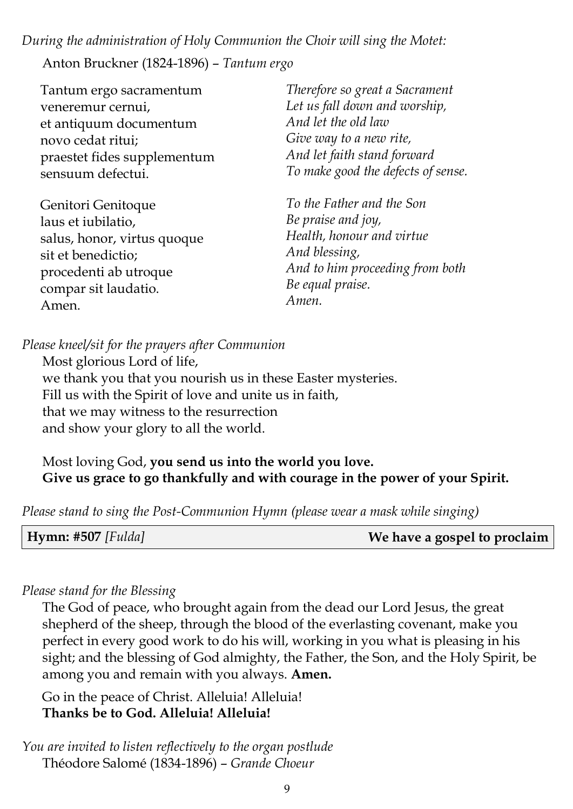*During the administration of Holy Communion the Choir will sing the Motet:*  Anton Bruckner (1824-1896) – *Tantum ergo*

Tantum ergo sacramentum veneremur cernui, et antiquum documentum novo cedat ritui; praestet fides supplementum sensuum defectui.

Genitori Genitoque laus et iubilatio, salus, honor, virtus quoque sit et benedictio; procedenti ab utroque compar sit laudatio. Amen.

*Therefore so great a Sacrament Let us fall down and worship, And let the old law Give way to a new rite, And let faith stand forward To make good the defects of sense.*

*To the Father and the Son Be praise and joy, Health, honour and virtue And blessing, And to him proceeding from both Be equal praise. Amen.*

*Please kneel/sit for the prayers after Communion*

Most glorious Lord of life, we thank you that you nourish us in these Easter mysteries. Fill us with the Spirit of love and unite us in faith, that we may witness to the resurrection and show your glory to all the world.

Most loving God, **you send us into the world you love. Give us grace to go thankfully and with courage in the power of your Spirit.**

*Please stand to sing the Post-Communion Hymn (please wear a mask while singing)*

| <b>Hymn: #507</b> [Fulda] | We have a gospel to proclaim |
|---------------------------|------------------------------|
|---------------------------|------------------------------|

#### *Please stand for the Blessing*

The God of peace, who brought again from the dead our Lord Jesus, the great shepherd of the sheep, through the blood of the everlasting covenant, make you perfect in every good work to do his will, working in you what is pleasing in his sight; and the blessing of God almighty, the Father, the Son, and the Holy Spirit, be among you and remain with you always. **Amen.**

Go in the peace of Christ. Alleluia! Alleluia! **Thanks be to God. Alleluia! Alleluia!**

*You are invited to listen reflectively to the organ postlude* Théodore Salomé (1834-1896) – *Grande Choeur*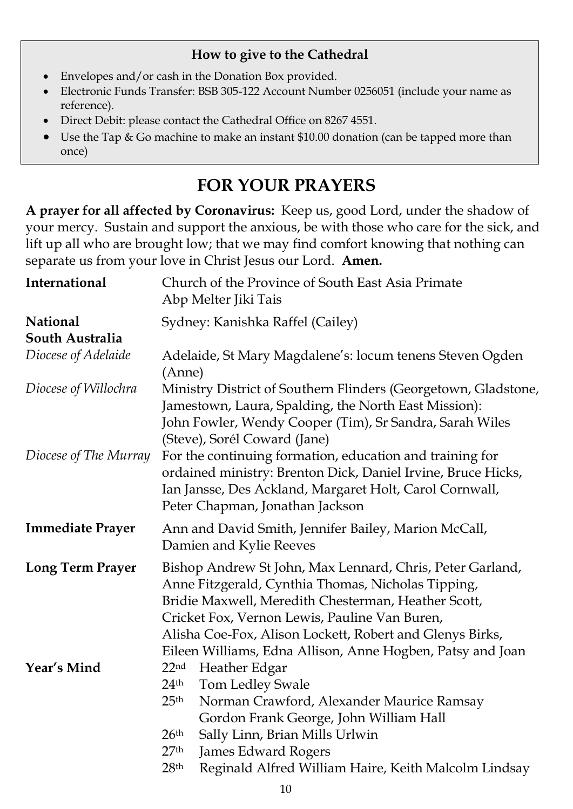# **How to give to the Cathedral**

- Envelopes and/or cash in the Donation Box provided.
- Electronic Funds Transfer: BSB 305-122 Account Number 0256051 (include your name as reference).
- Direct Debit: please contact the Cathedral Office on 8267 4551.
- Use the Tap & Go machine to make an instant \$10.00 donation (can be tapped more than once)

# **FOR YOUR PRAYERS**

**A prayer for all affected by Coronavirus:** Keep us, good Lord, under the shadow of your mercy. Sustain and support the anxious, be with those who care for the sick, and lift up all who are brought low; that we may find comfort knowing that nothing can separate us from your love in Christ Jesus our Lord. **Amen.**

| International                      | Church of the Province of South East Asia Primate<br>Abp Melter Jiki Tais                                                                                                                                                                                                                                                                                                |  |
|------------------------------------|--------------------------------------------------------------------------------------------------------------------------------------------------------------------------------------------------------------------------------------------------------------------------------------------------------------------------------------------------------------------------|--|
| <b>National</b><br>South Australia | Sydney: Kanishka Raffel (Cailey)                                                                                                                                                                                                                                                                                                                                         |  |
| Diocese of Adelaide                | Adelaide, St Mary Magdalene's: locum tenens Steven Ogden<br>(Anne)                                                                                                                                                                                                                                                                                                       |  |
| Diocese of Willochra               | Ministry District of Southern Flinders (Georgetown, Gladstone,<br>Jamestown, Laura, Spalding, the North East Mission):<br>John Fowler, Wendy Cooper (Tim), Sr Sandra, Sarah Wiles<br>(Steve), Sorél Coward (Jane)                                                                                                                                                        |  |
| Diocese of The Murray              | For the continuing formation, education and training for<br>ordained ministry: Brenton Dick, Daniel Irvine, Bruce Hicks,<br>Ian Jansse, Des Ackland, Margaret Holt, Carol Cornwall,<br>Peter Chapman, Jonathan Jackson                                                                                                                                                   |  |
| <b>Immediate Prayer</b>            | Ann and David Smith, Jennifer Bailey, Marion McCall,<br>Damien and Kylie Reeves                                                                                                                                                                                                                                                                                          |  |
| <b>Long Term Prayer</b>            | Bishop Andrew St John, Max Lennard, Chris, Peter Garland,<br>Anne Fitzgerald, Cynthia Thomas, Nicholas Tipping,<br>Bridie Maxwell, Meredith Chesterman, Heather Scott,<br>Cricket Fox, Vernon Lewis, Pauline Van Buren,<br>Alisha Coe-Fox, Alison Lockett, Robert and Glenys Birks,<br>Eileen Williams, Edna Allison, Anne Hogben, Patsy and Joan                        |  |
| Year's Mind                        | 22 <sub>nd</sub><br>Heather Edgar<br>Tom Ledley Swale<br>24 <sup>th</sup><br>25 <sup>th</sup><br>Norman Crawford, Alexander Maurice Ramsay<br>Gordon Frank George, John William Hall<br>26 <sup>th</sup><br>Sally Linn, Brian Mills Urlwin<br><b>James Edward Rogers</b><br>27 <sup>th</sup><br>Reginald Alfred William Haire, Keith Malcolm Lindsay<br>28 <sup>th</sup> |  |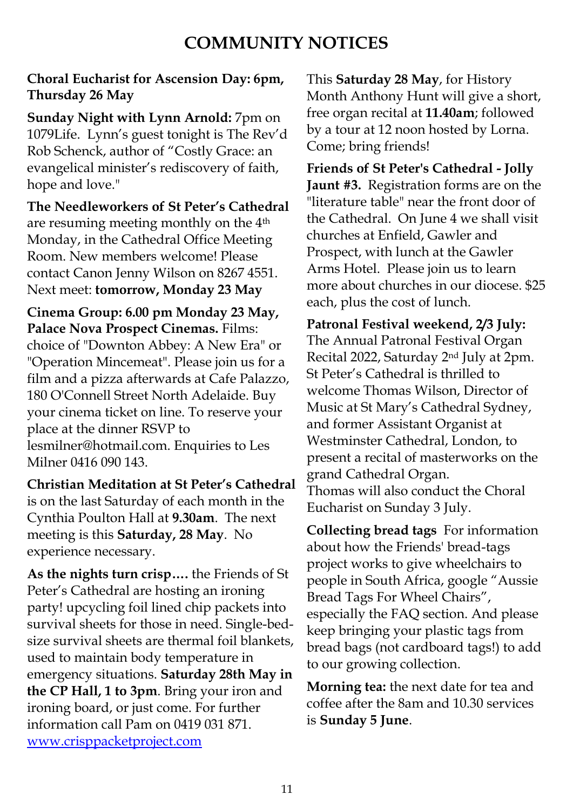# **COMMUNITY NOTICES**

# **Choral Eucharist for Ascension Day: 6pm, Thursday 26 May**

**Sunday Night with Lynn Arnold:** 7pm on 1079Life. Lynn's guest tonight is The Rev'd Rob Schenck, author of "Costly Grace: an evangelical minister's rediscovery of faith, hope and love."

**The Needleworkers of St Peter's Cathedral**  are resuming meeting monthly on the 4th Monday, in the Cathedral Office Meeting Room. New members welcome! Please contact Canon Jenny Wilson on 8267 4551. Next meet: **tomorrow, Monday 23 May**

**Cinema Group: 6.00 pm Monday 23 May, Palace Nova Prospect Cinemas.** Films: choice of "Downton Abbey: A New Era" or "Operation Mincemeat". Please join us for a film and a pizza afterwards at Cafe Palazzo, 180 O'Connell Street North Adelaide. Buy your cinema ticket on line. To reserve your place at the dinner RSVP to lesmilner@hotmail.com. Enquiries to Les Milner 0416 090 143.

**Christian Meditation at St Peter's Cathedral** 

is on the last Saturday of each month in the Cynthia Poulton Hall at **9.30am**. The next meeting is this **Saturday, 28 May**. No experience necessary.

**As the nights turn crisp….** the Friends of St Peter's Cathedral are hosting an ironing party! upcycling foil lined chip packets into survival sheets for those in need. Single-bedsize survival sheets are thermal foil blankets, used to maintain body temperature in emergency situations. **Saturday 28th May in the CP Hall, 1 to 3pm**. Bring your iron and ironing board, or just come. For further information call Pam on 0419 031 871. [www.crisppacketproject.com](http://www.crisppacketproject.com/)

This **Saturday 28 May**, for History Month Anthony Hunt will give a short, free organ recital at **11.40am**; followed by a tour at 12 noon hosted by Lorna. Come; bring friends!

**Friends of St Peter's Cathedral - Jolly Jaunt #3.** Registration forms are on the "literature table" near the front door of the Cathedral. On June 4 we shall visit churches at Enfield, Gawler and Prospect, with lunch at the Gawler Arms Hotel. Please join us to learn more about churches in our diocese. \$25 each, plus the cost of lunch.

**Patronal Festival weekend, 2/3 July:** The Annual Patronal Festival Organ Recital 2022, Saturday 2nd July at 2pm. St Peter's Cathedral is thrilled to welcome Thomas Wilson, Director of Music at St Mary's Cathedral Sydney, and former Assistant Organist at Westminster Cathedral, London, to present a recital of masterworks on the grand Cathedral Organ. Thomas will also conduct the Choral Eucharist on Sunday 3 July.

**Collecting bread tags** For information about how the Friends' bread-tags project works to give wheelchairs to people in South Africa, google "Aussie Bread Tags For Wheel Chairs", especially the FAQ section. And please keep bringing your plastic tags from bread bags (not cardboard tags!) to add to our growing collection.

**Morning tea:** the next date for tea and coffee after the 8am and 10.30 services is **Sunday 5 June**.